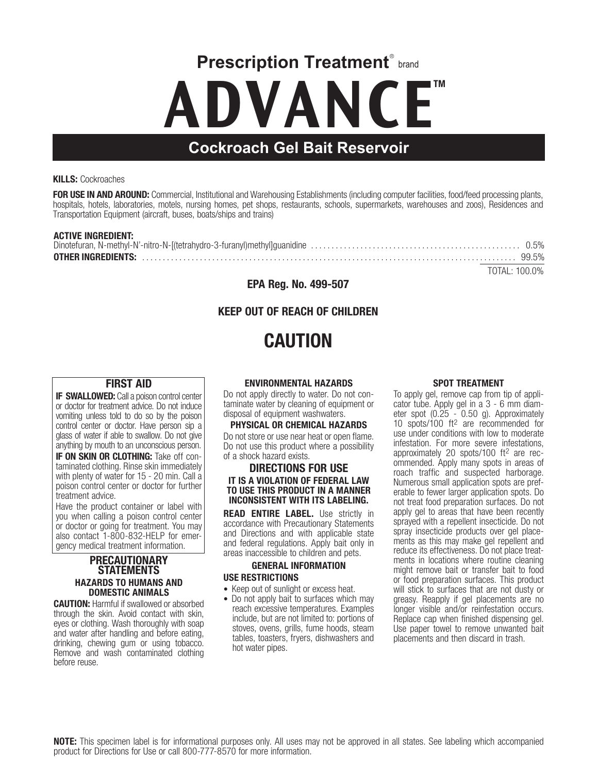**Prescription Treatment**® brand

# ADVANCE<sup>™</sup>

## **Cockroach Gel Bait Reservoir**

#### KILLS: Cockroaches

FOR USE IN AND AROUND: Commercial, Institutional and Warehousing Establishments (including computer facilities, food/feed processing plants, hospitals, hotels, laboratories, motels, nursing homes, pet shops, restaurants, schools, supermarkets, warehouses and zoos), Residences and Transportation Equipment (aircraft, buses, boats/ships and trains)

#### ACTIVE INGREDIENT:

| TOTAL: 100.0% |  |
|---------------|--|

EPA Reg. No. 499-507

## KEEP OUT OF REACH OF CHILDREN

# CAUTION

#### FIRST AID

**IF SWALLOWED:** Call a poison control center or doctor for treatment advice. Do not induce vomiting unless told to do so by the poison control center or doctor. Have person sip a glass of water if able to swallow. Do not give anything by mouth to an unconscious person.

**IF ON SKIN OR CLOTHING:** Take off con-<br>taminated clothing. Rinse skin immediately with plenty of water for 15 - 20 min. Call a poison control center or doctor for further treatment advice.

Have the product container or label with you when calling a poison control center or doctor or going for treatment. You may also contact 1-800-832-HELP for emergency medical treatment information.

#### PRECAUTIONARY **STATEMENTS** HAZARDS TO HUMANS AND DOMESTIC ANIMALS

CAUTION: Harmful if swallowed or absorbed through the skin. Avoid contact with skin, eyes or clothing. Wash thoroughly with soap and water after handling and before eating, drinking, chewing gum or using tobacco. Remove and wash contaminated clothing before reuse.

#### ENVIRONMENTAL HAZARDS

Do not apply directly to water. Do not con- taminate water by cleaning of equipment or disposal of equipment washwaters.

#### PHYSICAL OR CHEMICAL HAZARDS

Do not store or use near heat or open flame. Do not use this product where a possibility of a shock hazard exists.

#### DIRECTIONS FOR USE IT IS A VIOLATION OF FEDERAL LAW TO USE THIS PRODUCT IN A MANNER INCONSISTENT WITH ITS LABELING.

READ ENTIRE LABEL. Use strictly in accordance with Precautionary Statements and Directions and with applicable state and federal regulations. Apply bait only in areas inaccessible to children and pets.

#### GENERAL INFORMATION USE RESTRICTIONS

- Keep out of sunlight or excess heat.
- Do not apply bait to surfaces which may reach excessive temperatures. Examples include, but are not limited to: portions of stoves, ovens, grills, fume hoods, steam tables, toasters, fryers, dishwashers and hot water pipes.

#### SPOT TREATMENT

To apply gel, remove cap from tip of appli- cator tube. Apply gel in a 3 - 6 mm diam- eter spot (0.25 - 0.50 g). Approximately 10 spots/100 ft2 are recommended for use under conditions with low to moderate infestation. For more severe infestations,<br>approximately 20 spots/100 ft<sup>2</sup> are recommended. Apply many spots in areas of roach traffic and suspected harborage. Numerous small application spots are preferable to fewer larger application spots. Do not treat food preparation surfaces. Do not apply gel to areas that have been recently sprayed with a repellent insecticide. Do not spray insecticide products over gel placements as this may make gel repellent and reduce its effectiveness. Do not place treatments in locations where routine cleaning might remove bait or transfer bait to food or food preparation surfaces. This product will stick to surfaces that are not dusty or greasy. Reapply if gel placements are no longer visible and/or reinfestation occurs. Replace cap when finished dispensing gel. Use paper towel to remove unwanted bait placements and then discard in trash.